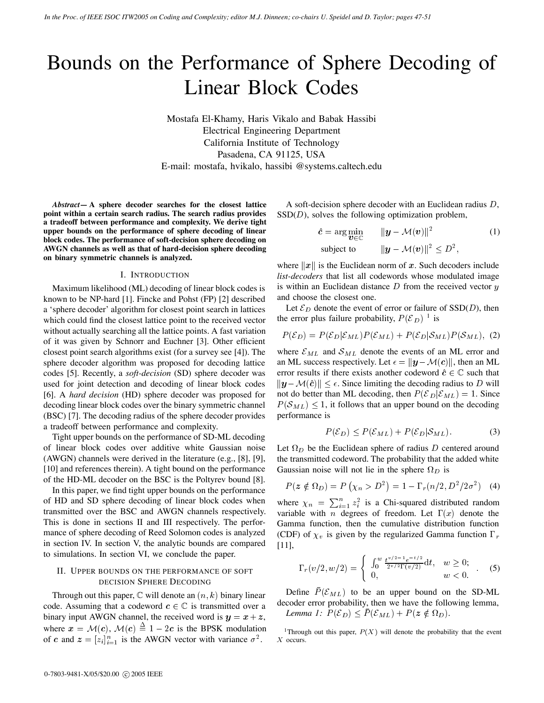# Bounds on the Performance of Sphere Decoding of Linear Block Codes

Mostafa El-Khamy, Haris Vikalo and Babak Hassibi Electrical Engineering Department California Institute of Technology Pasadena, CA 91125, USA E-mail: mostafa, hvikalo, hassibi @systems.caltech.edu

*Abstract***— A sphere decoder searches for the closest lattice point within a certain search radius. The search radius provides a tradeoff between performance and complexity. We derive tight upper bounds on the performance of sphere decoding of linear block codes. The performance of soft-decision sphere decoding on AWGN channels as well as that of hard-decision sphere decoding on binary symmetric channels is analyzed.**

#### I. INTRODUCTION

Maximum likelihood (ML) decoding of linear block codes is known to be NP-hard [1]. Fincke and Pohst (FP) [2] described a 'sphere decoder' algorithm for closest point search in lattices which could find the closest lattice point to the received vector without actually searching all the lattice points. A fast variation of it was given by Schnorr and Euchner [3]. Other efficient closest point search algorithms exist (for a survey see [4]). The sphere decoder algorithm was proposed for decoding lattice codes [5]. Recently, a *soft-decision* (SD) sphere decoder was used for joint detection and decoding of linear block codes [6]. A *hard decision* (HD) sphere decoder was proposed for decoding linear block codes over the binary symmetric channel (BSC) [7]. The decoding radius of the sphere decoder provides a tradeoff between performance and complexity.

Tight upper bounds on the performance of SD-ML decoding of linear block codes over additive white Gaussian noise (AWGN) channels were derived in the literature (e.g., [8], [9], [10] and references therein). A tight bound on the performance of the HD-ML decoder on the BSC is the Poltyrev bound [8].

In this paper, we find tight upper bounds on the performance of HD and SD sphere decoding of linear block codes when transmitted over the BSC and AWGN channels respectively. This is done in sections II and III respectively. The performance of sphere decoding of Reed Solomon codes is analyzed in section IV. In section V, the analytic bounds are compared to simulations. In section VI, we conclude the paper.

## II. UPPER BOUNDS ON THE PERFORMANCE OF SOFT DECISION SPHERE DECODING

Through out this paper,  $\mathbb C$  will denote an  $(n, k)$  binary linear code. Assuming that a codeword  $c \in \mathbb{C}$  is transmitted over a binary input AWGN channel, the received word is  $y = x + z$ , where  $x = M(c)$ ,  $M(c) \equiv 1 - 2c$  is the BPSK modulation of c and  $z = [z_i]_{i=1}^n$  is the AWGN vector with variance  $\sigma^2$ . X

A soft-decision sphere decoder with an Euclidean radius  $D$ ,  $SSD(D)$ , solves the following optimization problem,

$$
\hat{c} = \arg\min_{\mathbf{v} \in \mathbb{C}} \qquad \|\mathbf{y} - \mathcal{M}(\mathbf{v})\|^2 \tag{1}
$$
\n
$$
\text{subject to} \qquad \|\mathbf{y} - \mathcal{M}(\mathbf{v})\|^2 \le D^2,
$$

where  $||x||$  is the Euclidean norm of x. Such decoders include *list-decoders* that list all codewords whose modulated image is within an Euclidean distance  $D$  from the received vector  $y$ and choose the closest one.

Let  $\mathcal{E}_D$  denote the event of error or failure of SSD(D), then the error plus failure probability,  $P(\mathcal{E}_D)$ <sup>1</sup> is

$$
P(\mathcal{E}_D) = P(\mathcal{E}_D | \mathcal{E}_{ML}) P(\mathcal{E}_{ML}) + P(\mathcal{E}_D | \mathcal{S}_{ML}) P(\mathcal{S}_{ML}), \tag{2}
$$

where  $\mathcal{E}_{ML}$  and  $\mathcal{S}_{ML}$  denote the events of an ML error and an ML success respectively. Let  $\epsilon = ||y - \mathcal{M}(c)||$ , then an ML error results if there exists another codeword  $\hat{c} \in \mathbb{C}$  such that  $||y - M(\hat{c})|| \le \epsilon$ . Since limiting the decoding radius to D will not do better than ML decoding, then  $P(\mathcal{E}_D | \mathcal{E}_{ML}) = 1$ . Since  $P(S_{ML}) \leq 1$ , it follows that an upper bound on the decoding performance is

$$
P(\mathcal{E}_D) \le P(\mathcal{E}_{ML}) + P(\mathcal{E}_D | \mathcal{S}_{ML}). \tag{3}
$$

Let  $\Omega_D$  be the Euclidean sphere of radius D centered around the transmitted codeword. The probability that the added white Gaussian noise will not lie in the sphere  $\Omega_D$  is

$$
P(z \notin \Omega_D) = P(\chi_n > D^2) = 1 - \Gamma_r(n/2, D^2/2\sigma^2)
$$
 (4)

where  $\chi_n = \sum_{i=1}^n z_i^2$  is  $\sum_{i=1}^{n} z_i^2$  is a Chi-squared distributed random variable with *n* degrees of freedom. Let  $\Gamma(x)$  denote the Gamma function, then the cumulative distribution function (CDF) of  $\chi_v$  is given by the regularized Gamma function  $\Gamma_r$ [11],

$$
\Gamma_r(v/2, w/2) = \begin{cases} \n\int_0^w \frac{t^{v/2 - 1} e^{-t/2}}{2^{v/2} \Gamma(v/2)} dt, & w \ge 0; \\
0, & w < 0.\n\end{cases} \tag{5}
$$

 $+ z$ , Lemma 1:  $P(\mathcal{E}_D) \leq P(\mathcal{E}_{ML}) + P(z \notin \Omega_D)$ . Define  $\bar{P}(\mathcal{E}_{ML})$  to be an upper bound on the SD-ML decoder error probability, then we have the following lemma,

> <sup>1</sup>Through out this paper,  $P(X)$  will denote the probability that the event  $X$  occurs.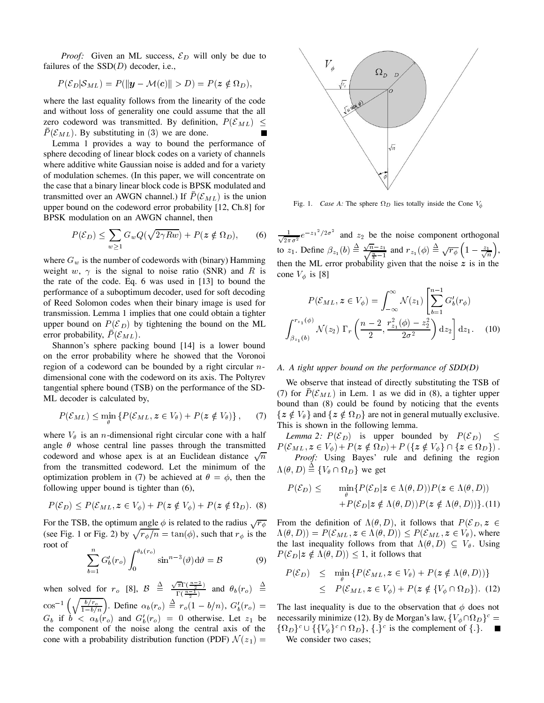*Proof:* Given an ML success,  $\mathcal{E}_D$  will only be due to failures of the  $SSD(D)$  decoder, i.e.,

$$
P(\mathcal{E}_D|\mathcal{S}_{ML})=P(||\mathbf{y}-\mathcal{M}(\mathbf{c})||>D)=P(\mathbf{z}\notin\Omega_D),
$$

where the last equality follows from the linearity of the code and without loss of generality one could assume that the all zero codeword was transmitted. By definition,  $P(\mathcal{E}_{ML}) \leq$  $P(\mathcal{E}_{ML})$ . By substituting in (3) we are done.  $\blacksquare$ 

Lemma 1 provides a way to bound the performance of sphere decoding of linear block codes on a variety of channels where additive white Gaussian noise is added and for a variety of modulation schemes. (In this paper, we will concentrate on the case that a binary linear block code is BPSK modulated and transmitted over an AWGN channel.) If  $P(\mathcal{E}_{ML})$  is the union upper bound on the codeword error probability [12, Ch.8] for BPSK modulation on an AWGN channel, then

$$
P(\mathcal{E}_D) \le \sum_{w \ge 1} G_w Q(\sqrt{2\gamma Rw}) + P(z \notin \Omega_D), \qquad (6)
$$

where  $G_w$  is the number of codewords with (binary) Hamming weight w,  $\gamma$  is the signal to noise ratio (SNR) and R is the rate of the code. Eq. 6 was used in [13] to bound the performance of a suboptimum decoder, used for soft decoding of Reed Solomon codes when their binary image is used for transmission. Lemma 1 implies that one could obtain a tighter upper bound on  $P(\mathcal{E}_D)$  by tightening the bound on the ML error probability,  $P(\mathcal{E}_{ML})$ .

Shannon's sphere packing bound [14] is a lower bound on the error probability where he showed that the Voronoi region of a codeword can be bounded by a right circular  $n$ dimensional cone with the codeword on its axis. The Poltyrev tangential sphere bound (TSB) on the performance of the SD-ML decoder is calculated by,

$$
P(\mathcal{E}_{ML}) \le \min_{\theta} \left\{ P(\mathcal{E}_{ML}, z \in V_{\theta}) + P(z \notin V_{\theta}) \right\},\tag{7}
$$

where  $V_{\theta}$  is an *n*-dimensional right circular cone with a half angle  $\theta$  whose central line passes through the transmitted codeword and whose apex is at an Euclidean distance  $\sqrt{n}$ from the transmitted codeword. Let the minimum of the optimization problem in (7) be achieved at  $\theta = \phi$ , then the following upper bound is tighter than (6),

$$
P(\mathcal{E}_D) \le P(\mathcal{E}_{ML}, z \in V_{\phi}) + P(z \notin V_{\phi}) + P(z \notin \Omega_D). \tag{8}
$$

For the TSB, the optimum angle  $\phi$  is related to the radius  $\sqrt{r_{\phi}}$ (see Fig. 1 or Fig. 2) by  $\sqrt{r_{\phi}/n} = \tan(\phi)$ , such that  $r_{\phi}$  is the root of

$$
\sum_{b=1}^{n} G'_b(r_o) \int_0^{\theta_b(r_o)} \sin^{n-3}(\vartheta) d\vartheta = \mathcal{B}
$$
 (9)

when solved for  $r_o$  [8],  $\mathcal{B} \triangleq \frac{\sqrt{n} \cdot \left(\frac{n}{2}\right)}{\Gamma(n-1)}$  a  $\frac{\sqrt{\pi} \Gamma(\frac{n-2}{2})}{\Gamma(\frac{n-1}{2})}$  and  $\theta_b(r_o) \triangleq$  $\cos^{-1}(\sqrt{\frac{b/r_o}{\sigma}})$ . Define  $\alpha$  $\frac{b/r_o}{1-b/n}$ . Define  $\alpha_b(r_o) \triangleq r_o(1-b/n)$ ,  $G'_b(r_o) = 1$  $G_b$  if  $b < \alpha_b(r_o)$  and  $G'_b(r_o) = 0$  otherwise. Let  $z_1$  be 1 the component of the noise along the central axis of the cone with a probability distribution function (PDF)  $\mathcal{N}(z_1) =$  W



Fig. 1. *Case A:* The sphere  $\Omega_D$  lies totally inside the Cone V 

 $\frac{1}{\sqrt{2\pi\sigma^2}}e^{-z_1^2/2\sigma^2}$  and  $z_2$  be the noise component orthogonal to  $z_1$ . Define  $\beta_{z_1}(b) \equiv \frac{\sqrt{n-z_1}}{n}$  and  $r_1$  $\frac{\sqrt{n}-z_1}{\sqrt{\frac{n}{b}-1}}$  and  $r_{z_1}(\phi) \stackrel{\Delta}{=} \sqrt{r_{\phi}} \left(1-\frac{z_1}{\sqrt{n}}\right)$ , then the ML error probability given that the noise  $z$  is in the cone  $V_{\phi}$  is [8]

$$
P(\mathcal{E}_{ML}, z \in V_{\phi}) = \int_{-\infty}^{\infty} \mathcal{N}(z_1) \left[ \sum_{b=1}^{n-1} G'_b(r_{\phi}) \right]
$$

$$
\int_{\beta_{z_1}(b)}^{r_{z_1}(\phi)} \mathcal{N}(z_2) \, \Gamma_r \left( \frac{n-2}{2}, \frac{r_{z_1}^2(\phi) - z_2^2}{2\sigma^2} \right) dz_2 \right] dz_1. \quad (10)
$$

## *A. A tight upper bound on the performance of SDD(D)*

We observe that instead of directly substituting the TSB of (7) for  $P(\mathcal{E}_{ML})$  in Lem. 1 as we did in (8), a tighter upper bound than (8) could be found by noticing that the events  $\{z \notin V_\theta\}$  and  $\{z \notin \Omega_D\}$  are not in general mutually exclusive. This is shown in the following lemma.

*Lemma 2:*  $P(\mathcal{E}_D)$  is upper bounded by  $P(\mathcal{E}_D) \leq$  -  - 

 *Proof:* Using Bayes' rule and defining the region  $\Lambda(\theta, D) \equiv \{V_{\theta} \cap \Omega_D\}$  we get

$$
P(\mathcal{E}_D) \le \min_{\theta} \{ P(\mathcal{E}_D | z \in \Lambda(\theta, D)) P(z \in \Lambda(\theta, D)) + P(\mathcal{E}_D | z \notin \Lambda(\theta, D)) P(z \notin \Lambda(\theta, D)) \}. (11)
$$

 $\overline{r_{\phi}}$  From the definition of  $\Lambda(\theta, D)$ , it follows that  $P(\mathcal{E}_D, z \in$  $\Lambda(\theta, D)) = P(\mathcal{E}_{ML}, z \in \Lambda(\theta, D)) \le P(\mathcal{E}_{ML}, z \in V_{\theta})$ , where the last inequality follows from that  $\Lambda(\theta, D) \subseteq V_{\theta}$ . Using  $P(\mathcal{E}_D | z \notin \Lambda(\theta, D)) \leq 1$ , it follows that

$$
P(\mathcal{E}_D) \leq \min_{\theta} \{ P(\mathcal{E}_{ML}, z \in V_{\theta}) + P(z \notin \Lambda(\theta, D)) \}
$$
  
 
$$
\leq P(\mathcal{E}_{ML}, z \in V_{\phi}) + P(z \notin \{ V_{\phi} \cap \Omega_D \}). \quad (12)
$$

The last inequality is due to the observation that  $\phi$  does not We consider two cases;necessarily minimize (12). By de Morgan's law,  $\{V_{\phi} \cap \Omega_D\}^c =$  $\{\Omega_D\}^c \cup \{\{V_{\phi}\}^c \cap \Omega_D\},\{\}^c$  is the complement of  $\{\}$ .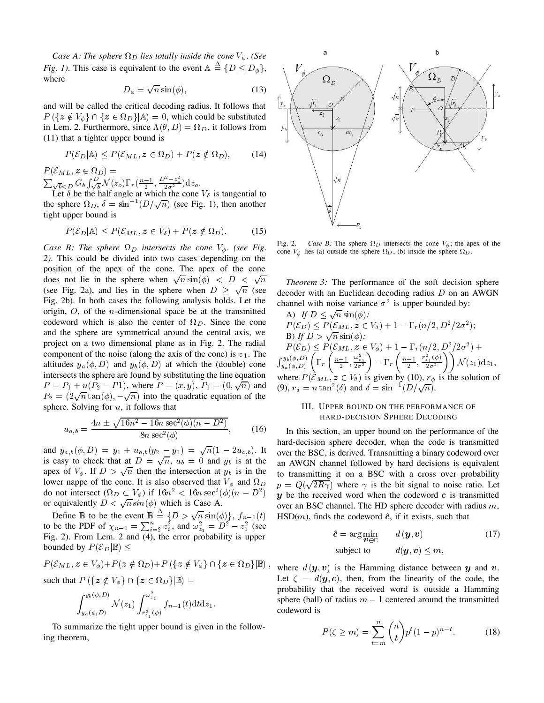*Case A: The sphere*  $\Omega_D$  lies totally inside the cone  $V_{\phi}$ . (See *Fig. 1).* This case is equivalent to the event  $A \triangleq \{D \leq D_{\phi}\},$ where

$$
D_{\phi} = \sqrt{n} \sin(\phi), \tag{13}
$$

and will be called the critical decoding radius. It follows that  $P(\{z \notin V_{\phi}\} \cap {\{z \in \Omega_D\}} | A) = 0$ , which could be substituted in Lem. 2. Furthermore, since  $\Lambda(\theta, D) = \Omega_D$ , it follows from (11) that a tighter upper bound is

$$
P(\mathcal{E}_D|\mathbb{A}) \le P(\mathcal{E}_{ML}, z \in \Omega_D) + P(z \notin \Omega_D), \tag{14}
$$

 $\sum_{\substack{\sqrt{b} < D}} G_b \int_{\sqrt{b}}^D \mathcal{N}(z_o) \Gamma_r(\frac{n-1}{2}, \frac{D^2-z_o^2}{2\sigma^2}) dz_o.$ <br>Let  $\delta$  be the half angle at which the cone  $V_\delta$  is tangential to

the sphere  $\Omega_D$ ,  $\delta = \sin^{-1}(D/\sqrt{n})$  (see Fig. 1), then another tight upper bound is

$$
P(\mathcal{E}_D|\mathbb{A}) \le P(\mathcal{E}_{ML}, z \in V_\delta) + P(z \notin \Omega_D). \tag{15}
$$

*Case B: The sphere*  $\Omega_D$  intersects the cone  $V_{\phi}$ . (see Fig. *2).* This could be divided into two cases depending on the position of the apex of the cone. The apex of the cone does not lie in the sphere when  $\sqrt{n} \sin(\phi)$  <  $D < \sqrt{n}$  Theorem (see Fig. 2a), and lies in the sphere when  $D \geq \sqrt{n}$  (see decoder Fig. 2b). In both cases the following analysis holds. Let the origin,  $O$ , of the *n*-dimensional space be at the transmitted codeword which is also the center of  $\Omega_D$ . Since the cone and the sphere are symmetrical around the central axis, we project on a two dimensional plane as in Fig. 2. The radial component of the noise (along the axis of the cone) is  $z_1$ . The altitudes  $y_a(\phi, D)$  and  $y_b(\phi, D)$  at which the (double) cone intersects the sphere are found by substituting the line equation  $P = P_1 + u(P_2 - P_1)$ , where  $P = (x, y), P_1 = (0, \sqrt{n})$  and (9), r  $P_2 = (2\sqrt{n} \tan(\phi), -\sqrt{n})$  into the quadratic equation of the sphere. Solving for  $u$ , it follows that

$$
u_{a,b} = \frac{4n \pm \sqrt{16n^2 - 16n \sec^2(\phi)(n - D^2)}}{8n \sec^2(\phi)},
$$
 (16)

and  $y_{a,b}(\phi, D) = y_1 + u_{a,b}(y_2 - y_1) = \sqrt{n}(1 - 2u_{a,b})$ . It is easy to check that at  $D = \sqrt{n}$ ,  $u_b = 0$  and  $y_b$  is at the apex of  $V_{\phi}$ . If  $D > \sqrt{n}$  then the intersection at  $y_b$  is in the lower nappe of the cone. It is also observed that  $V_{\phi}$  and  $\Omega_D$ do not intersect  $(\Omega_D \subset V_{\phi})$  if  $16n^2 < 16n \sec^2(\phi)(n - D^2)$  or equivalently  $D < \sqrt{n} sin(\phi)$  which is Case A.

Define  $\mathbb B$  to be the event  $\mathbb B \equiv \{D > \sqrt{n}\sin(\phi)\}\$ ,  $f_{n-1}$ to be the PDF of  $\chi_{n-1} = \sum_{i=2}^{n} z_i^2$ , and  $\omega_{z_1}^2 = D^2 - z_1^2$  (see Fig. 2). From Lem. 2 and (4), the error probability is upper bounded by  $P(\mathcal{E}_D | \mathbb{B}) \leq$ 

$$
P(\mathcal{E}_{ML}, z \in V_{\phi}) + P(z \notin \Omega_D) + P(\lbrace z \notin V_{\phi} \rbrace \cap \lbrace z \in \Omega_D \rbrace | \mathbb{B} \rangle ,
$$

such that  $P(\{z \notin V_{\phi}\} \cap {\{z \in \Omega_D\}}|\mathbb{B}) =$ 

$$
\int_{y_a(\phi,D)}^{y_b(\phi,D)} \mathcal{N}(z_1) \int_{r_{z_1}^2(\phi)}^{\omega_{z_1}^2} f_{n-1}(t) dt dz_1.
$$

To summarize the tight upper bound is given in the following theorem,



Fig. 2. *Case B*: The sphere  $\Omega_D$  intersects the cone  $V_{\phi}$ ; the apex of the cone  $V_{\phi}$  lies (a) outside the sphere  $\Omega_D$ , (b) inside the sphere  $\Omega_D$ .

 *Theorem 3:* The performance of the soft decision sphere decoder with an Euclidean decoding radius  $D$  on an AWGN channel with noise variance  $\sigma^2$  is upper bounded by:

A) If 
$$
D \leq \sqrt{n} \sin(\phi)
$$
:  
\n $P(\mathcal{E}_D) \leq P(\mathcal{E}_{ML}, z \in V_\delta) + 1 - \Gamma_r(n/2, D^2/2\sigma^2)$ ;  
\nB) If  $D > \sqrt{n} \sin(\phi)$ :  
\n $P(\mathcal{E}_D) \leq P(\mathcal{E}_{ML}, z \in V_\phi) + 1 - \Gamma_r(n/2, D^2/2\sigma^2) +$   
\n $\int_{y_a(\phi, D)}^{y_b(\phi, D)} \left( \Gamma_r \left( \frac{n-1}{2}, \frac{\omega_{z_1}^2}{2\sigma^2} \right) - \Gamma_r \left( \frac{n-1}{2}, \frac{r_{z_1}^2(\phi)}{2\sigma^2} \right) \right) \mathcal{N}(z_1) dz_1$ ,  
\nwhere  $P(\mathcal{E}_{ML}, z \in V_\theta)$  is given by (10),  $r_\phi$  is the solution of  
\n(9),  $r_\delta = n \tan^2(\delta)$  and  $\delta = \sin^{-1}(D/\sqrt{n})$ .

## III. UPPER BOUND ON THE PERFORMANCE OF HARD-DECISION SPHERE DECODING

 $p = Q(\sqrt{2R\gamma})$  where  $\gamma$  is the bit signal to noise ratio. Let  $b^{D}$  y be the received word when the codeword c is transmitted  $(t)$  HSD(*m*), finds the codeword  $\hat{c}$ , if it exists, such that In this section, an upper bound on the performance of the hard-decision sphere decoder, when the code is transmitted over the BSC, is derived. Transmitting a binary codeword over an AWGN channel followed by hard decisions is equivalent to transmitting it on a BSC with a cross over probability over an BSC channel. The HD sphere decoder with radius  $m$ ,

$$
\hat{c} = \arg\min_{\boldsymbol{v} \in \mathbb{C}} \qquad d(\boldsymbol{y}, \boldsymbol{v}) \tag{17}
$$
  
subject to 
$$
d(\boldsymbol{y}, \boldsymbol{v}) \leq m,
$$

<sup> $\theta$ </sup> where  $d(y, v)$  is the Hamming distance between  $y$  and  $v$ . Let  $\zeta = d(\mathbf{y}, \mathbf{c})$ , then, from the linearity of the code, the probability that the received word is outside a Hamming sphere (ball) of radius  $m-1$  centered around the transmitted codeword is

$$
P(\zeta \ge m) = \sum_{t=m}^{n} {n \choose t} p^t (1-p)^{n-t}.
$$
 (18)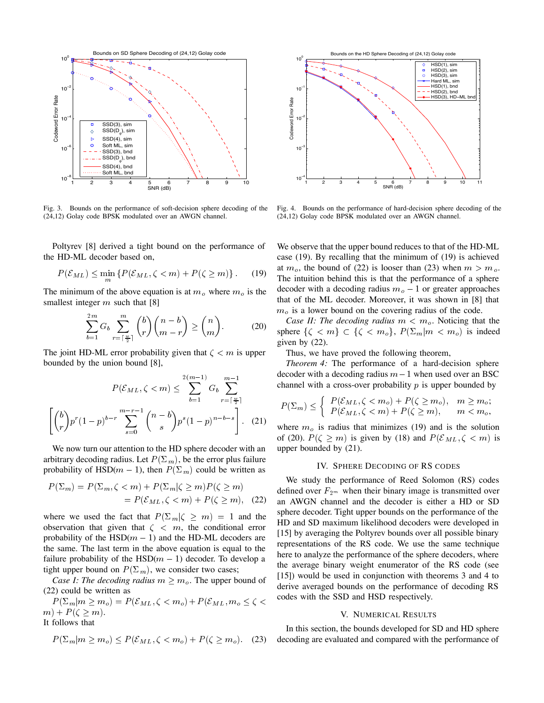

Fig. 3. Bounds on the performance of soft-decision sphere decoding of the (24,12) Golay code BPSK modulated over an AWGN channel.

Poltyrev [8] derived a tight bound on the performance of the HD-ML decoder based on,

$$
P(\mathcal{E}_{ML}) \le \min_{m} \{ P(\mathcal{E}_{ML}, \zeta < m) + P(\zeta \ge m) \}. \tag{19}
$$

The minimum of the above equation is at  $m<sub>o</sub>$  where  $m<sub>o</sub>$  is the smallest integer  $m$  such that [8]

$$
\sum_{b=1}^{2m} G_b \sum_{r=\lceil \frac{w}{2} \rceil}^m \binom{b}{r} \binom{n-b}{m-r} \ge \binom{n}{m}.
$$
 (20)

The joint HD-ML error probability given that  $\zeta \leq m$  is upper bounded by the union bound [8],

$$
P(\mathcal{E}_{ML}, \zeta < m) \le \sum_{b=1}^{2(m-1)} G_b \sum_{r=\lceil \frac{w}{2} \rceil}^{m-1} \left( \binom{b}{r} p^r (1-p)^{b-r} \sum_{s=0}^{m-r-1} \binom{n-b}{s} p^s (1-p)^{n-b-s} \right). \tag{21}
$$

We now turn our attention to the HD sphere decoder with an arbitrary decoding radius. Let  $P(\Sigma_m)$ , be the error plus failure probability of HSD( $m - 1$ ), then  $P(\Sigma_m)$  could be written as

$$
P(\Sigma_m) = P(\Sigma_m, \zeta < m) + P(\Sigma_m | \zeta \ge m) P(\zeta \ge m) \quad \text{d}
$$
\n
$$
= P(\mathcal{E}_{ML}, \zeta < m) + P(\zeta \ge m), \quad \text{(22)} \quad \text{a}
$$

where we used the fact that  $P(\Sigma_m | \zeta \ge m) = 1$  and the observation that given that  $\zeta \leq m$ , the conditional error probability of the  $HSD(m - 1)$  and the HD-ML decoders are the same. The last term in the above equation is equal to the failure probability of the  $HSD(m - 1)$  decoder. To develop a tight upper bound on  $P(\Sigma_m)$ , we consider two cases;

*Case I: The decoding radius*  $m \geq m_o$ . The upper bound of (22) could be written as

 $\mathcal{L} \setminus \mathcal{L}$  in equal to  $\mathcal{L} \setminus \mathcal{L}$  in equal to  $\mathcal{L} \setminus \mathcal{L}$  in the set of  $\mathcal{L} \setminus \mathcal{L}$  in the set of  $\mathcal{L} \setminus \mathcal{L}$  $m$ ) +  $P(\zeta \geq m)$ . It follows that

$$
P(\Sigma_m|m \ge m_o) \le P(\mathcal{E}_{ML}, \zeta < m_o) + P(\zeta \ge m_o). \tag{23}
$$



Fig. 4. Bounds on the performance of hard-decision sphere decoding of the (24,12) Golay code BPSK modulated over an AWGN channel.

We observe that the upper bound reduces to that of the HD-ML case (19). By recalling that the minimum of (19) is achieved at  $m_o$ , the bound of (22) is looser than (23) when  $m > m_o$ . The intuition behind this is that the performance of a sphere decoder with a decoding radius  $m<sub>o</sub> - 1$  or greater approaches that of the ML decoder. Moreover, it was shown in [8] that  $m<sub>o</sub>$  is a lower bound on the covering radius of the code.

*Case II: The decoding radius*  $m < m_o$ . Noticing that the sphere  $\{\zeta < m\} \subset \{\zeta < m_o\}, P(\Sigma_m|m < m_o)$  is indeed given by (22).

Thus, we have proved the following theorem,

*Theorem 4:* The performance of a hard-decision sphere decoder with a decoding radius  $m-1$  when used over an BSC channel with a cross-over probability  $p$  is upper bounded by

$$
P(\Sigma_m) \leq \begin{cases} P(\mathcal{E}_{ML}, \zeta < m_o) + P(\zeta \geq m_o), & m \geq m_o; \\ P(\mathcal{E}_{ML}, \zeta < m) + P(\zeta \geq m), & m < m_o, \end{cases}
$$

where  $m<sub>o</sub>$  is radius that minimizes (19) and is the solution of (20).  $P(\zeta \ge m)$  is given by (18) and  $P(\mathcal{E}_{ML}, \zeta < m)$  is upper bounded by (21).

#### IV. SPHERE DECODING OF RS CODES

We study the performance of Reed Solomon (RS) codes defined over  $F_{2^m}$  when their binary image is transmitted over an AWGN channel and the decoder is either a HD or SD sphere decoder. Tight upper bounds on the performance of the HD and SD maximum likelihood decoders were developed in [15] by averaging the Poltyrev bounds over all possible binary representations of the RS code. We use the same technique here to analyze the performance of the sphere decoders, where the average binary weight enumerator of the RS code (see [15]) would be used in conjunction with theorems 3 and 4 to derive averaged bounds on the performance of decoding RS codes with the SSD and HSD respectively.

## V. NUMERICAL RESULTS

In this section, the bounds developed for SD and HD sphere decoding are evaluated and compared with the performance of